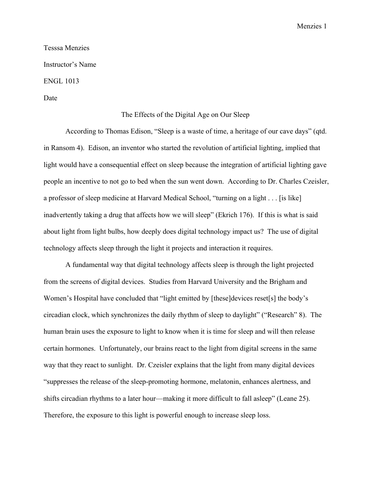## Tesssa Menzies Instructor's Name ENGL 1013

## Date

## The Effects of the Digital Age on Our Sleep

According to Thomas Edison, "Sleep is a waste of time, a heritage of our cave days" (qtd. in Ransom 4). Edison, an inventor who started the revolution of artificial lighting, implied that light would have a consequential effect on sleep because the integration of artificial lighting gave people an incentive to not go to bed when the sun went down. According to Dr. Charles Czeisler, a professor of sleep medicine at Harvard Medical School, "turning on a light . . . [is like] inadvertently taking a drug that affects how we will sleep" (Ekrich 176). If this is what is said about light from light bulbs, how deeply does digital technology impact us? The use of digital technology affects sleep through the light it projects and interaction it requires.

A fundamental way that digital technology affects sleep is through the light projected from the screens of digital devices. Studies from Harvard University and the Brigham and Women's Hospital have concluded that "light emitted by [these]devices reset[s] the body's circadian clock, which synchronizes the daily rhythm of sleep to daylight" ("Research" 8). The human brain uses the exposure to light to know when it is time for sleep and will then release certain hormones. Unfortunately, our brains react to the light from digital screens in the same way that they react to sunlight. Dr. Czeisler explains that the light from many digital devices "suppresses the release of the sleep-promoting hormone, melatonin, enhances alertness, and shifts circadian rhythms to a later hour—making it more difficult to fall asleep" (Leane 25). Therefore, the exposure to this light is powerful enough to increase sleep loss.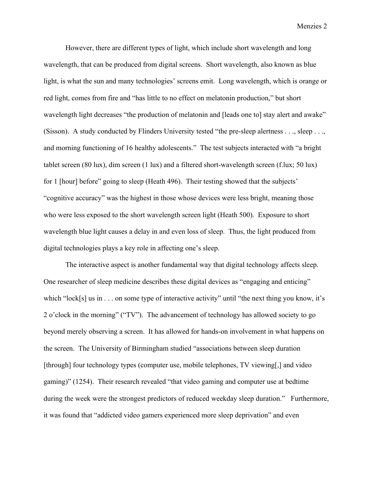However, there are different types of light, which include short wavelength and long wavelength, that can be produced from digital screens. Short wavelength, also known as blue light, is what the sun and many technologies' screens emit. Long wavelength, which is orange or red light, comes from fire and "has little to no effect on melatonin production," but short wavelength light decreases "the production of melatonin and [leads one to] stay alert and awake" (Sisson). A study conducted by Flinders University tested "the pre-sleep alertness . . ., sleep . . ., and morning functioning of 16 healthy adolescents." The test subjects interacted with "a bright tablet screen (80 lux), dim screen (1 lux) and a filtered short-wavelength screen (f.lux; 50 lux) for 1 [hour] before" going to sleep (Heath 496). Their testing showed that the subjects' "cognitive accuracy" was the highest in those whose devices were less bright, meaning those who were less exposed to the short wavelength screen light (Heath 500). Exposure to short wavelength blue light causes a delay in and even loss of sleep. Thus, the light produced from digital technologies plays a key role in affecting one's sleep.

The interactive aspect is another fundamental way that digital technology affects sleep. One researcher of sleep medicine describes these digital devices as "engaging and enticing" which "lock[s] us in . . . on some type of interactive activity" until "the next thing you know, it's 2 o'clock in the morning" ("TV"). The advancement of technology has allowed society to go beyond merely observing a screen. It has allowed for hands-on involvement in what happens on the screen. The University of Birmingham studied "associations between sleep duration [through] four technology types (computer use, mobile telephones, TV viewing[,] and video gaming)" (1254). Their research revealed "that video gaming and computer use at bedtime during the week were the strongest predictors of reduced weekday sleep duration." Furthermore, it was found that "addicted video gamers experienced more sleep deprivation" and even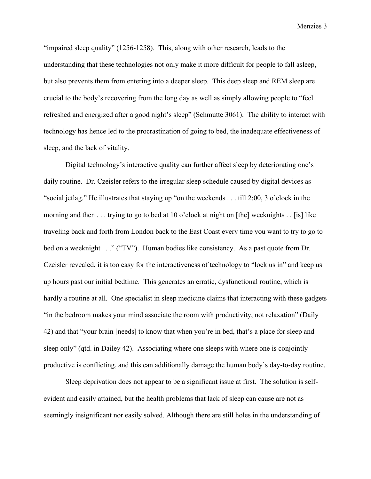"impaired sleep quality" (1256-1258). This, along with other research, leads to the understanding that these technologies not only make it more difficult for people to fall asleep, but also prevents them from entering into a deeper sleep. This deep sleep and REM sleep are crucial to the body's recovering from the long day as well as simply allowing people to "feel refreshed and energized after a good night's sleep" (Schmutte 3061). The ability to interact with technology has hence led to the procrastination of going to bed, the inadequate effectiveness of sleep, and the lack of vitality.

Digital technology's interactive quality can further affect sleep by deteriorating one's daily routine. Dr. Czeisler refers to the irregular sleep schedule caused by digital devices as "social jetlag." He illustrates that staying up "on the weekends . . . till 2:00, 3 o'clock in the morning and then . . . trying to go to bed at 10 o'clock at night on [the] weeknights . . [is] like traveling back and forth from London back to the East Coast every time you want to try to go to bed on a weeknight . . ." ("TV"). Human bodies like consistency. As a past quote from Dr. Czeisler revealed, it is too easy for the interactiveness of technology to "lock us in" and keep us up hours past our initial bedtime. This generates an erratic, dysfunctional routine, which is hardly a routine at all. One specialist in sleep medicine claims that interacting with these gadgets "in the bedroom makes your mind associate the room with productivity, not relaxation" (Daily 42) and that "your brain [needs] to know that when you're in bed, that's a place for sleep and sleep only" (qtd. in Dailey 42). Associating where one sleeps with where one is conjointly productive is conflicting, and this can additionally damage the human body's day-to-day routine.

Sleep deprivation does not appear to be a significant issue at first. The solution is selfevident and easily attained, but the health problems that lack of sleep can cause are not as seemingly insignificant nor easily solved. Although there are still holes in the understanding of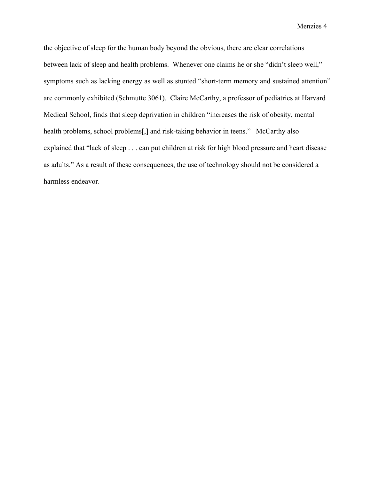the objective of sleep for the human body beyond the obvious, there are clear correlations between lack of sleep and health problems. Whenever one claims he or she "didn't sleep well," symptoms such as lacking energy as well as stunted "short-term memory and sustained attention" are commonly exhibited (Schmutte 3061). Claire McCarthy, a professor of pediatrics at Harvard Medical School, finds that sleep deprivation in children "increases the risk of obesity, mental health problems, school problems[,] and risk-taking behavior in teens." McCarthy also explained that "lack of sleep . . . can put children at risk for high blood pressure and heart disease as adults." As a result of these consequences, the use of technology should not be considered a harmless endeavor.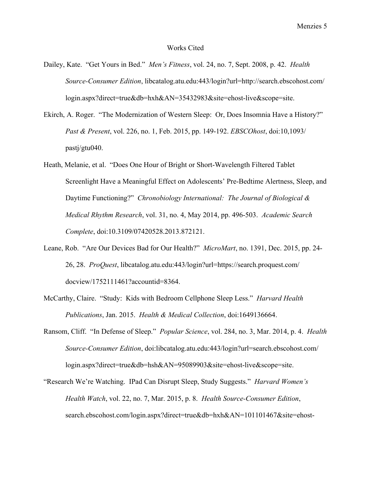## Works Cited

- Dailey, Kate. "Get Yours in Bed." *Men's Fitness*, vol. 24, no. 7, Sept. 2008, p. 42. *Health Source-Consumer Edition*, libcatalog.atu.edu:443/login?url=http://search.ebscohost.com/ login.aspx?direct=true&db=hxh&AN=35432983&site=ehost-live&scope=site.
- Ekirch, A. Roger. "The Modernization of Western Sleep: Or, Does Insomnia Have a History?" *Past & Present*, vol. 226, no. 1, Feb. 2015, pp. 149-192. *EBSCOhost*, doi:10,1093/ pastj/gtu040.
- Heath, Melanie, et al. "Does One Hour of Bright or Short-Wavelength Filtered Tablet Screenlight Have a Meaningful Effect on Adolescents' Pre-Bedtime Alertness, Sleep, and Daytime Functioning?" *Chronobiology International: The Journal of Biological & Medical Rhythm Research*, vol. 31, no. 4, May 2014, pp. 496-503. *Academic Search Complete*, doi:10.3109/07420528.2013.872121.
- Leane, Rob. "Are Our Devices Bad for Our Health?" *MicroMart*, no. 1391, Dec. 2015, pp. 24- 26, 28. *ProQuest*, libcatalog.atu.edu:443/login?url=https://search.proquest.com/ docview/1752111461?accountid=8364.
- McCarthy, Claire. "Study: Kids with Bedroom Cellphone Sleep Less." *Harvard Health Publications*, Jan. 2015. *Health & Medical Collection*, doi:1649136664.
- Ransom, Cliff. "In Defense of Sleep." *Popular Science*, vol. 284, no. 3, Mar. 2014, p. 4. *Health Source-Consumer Edition*, doi:libcatalog.atu.edu:443/login?url=search.ebscohost.com/ login.aspx?direct=true&db=hsh&AN=95089903&site=ehost-live&scope=site.
- "Research We're Watching. IPad Can Disrupt Sleep, Study Suggests." *Harvard Women's Health Watch*, vol. 22, no. 7, Mar. 2015, p. 8. *Health Source-Consumer Edition*, search.ebscohost.com/login.aspx?direct=true&db=hxh&AN=101101467&site=ehost-